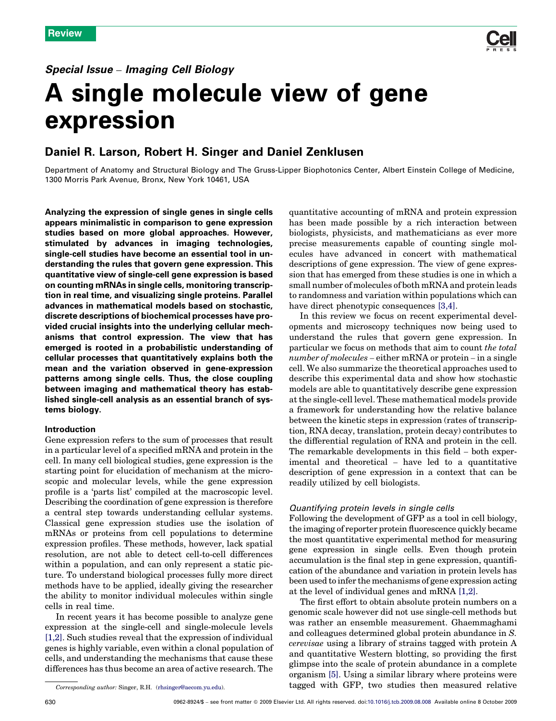# Special Issue – Imaging Cell Biology

# A single molecule view of gene expression

# Daniel R. Larson, Robert H. Singer and Daniel Zenklusen

Department of Anatomy and Structural Biology and The Gruss-Lipper Biophotonics Center, Albert Einstein College of Medicine, 1300 Morris Park Avenue, Bronx, New York 10461, USA

Analyzing the expression of single genes in single cells appears minimalistic in comparison to gene expression studies based on more global approaches. However, stimulated by advances in imaging technologies, single-cell studies have become an essential tool in understanding the rules that govern gene expression. This quantitative view of single-cell gene expression is based on counting mRNAs in single cells, monitoring transcription in real time, and visualizing single proteins. Parallel advances in mathematical models based on stochastic, discrete descriptions of biochemical processes have provided crucial insights into the underlying cellular mechanisms that control expression. The view that has emerged is rooted in a probabilistic understanding of cellular processes that quantitatively explains both the mean and the variation observed in gene-expression patterns among single cells. Thus, the close coupling between imaging and mathematical theory has established single-cell analysis as an essential branch of systems biology.

# Introduction

Gene expression refers to the sum of processes that result in a particular level of a specified mRNA and protein in the cell. In many cell biological studies, gene expression is the starting point for elucidation of mechanism at the microscopic and molecular levels, while the gene expression profile is a 'parts list' compiled at the macroscopic level. Describing the coordination of gene expression is therefore a central step towards understanding cellular systems. Classical gene expression studies use the isolation of mRNAs or proteins from cell populations to determine expression profiles. These methods, however, lack spatial resolution, are not able to detect cell-to-cell differences within a population, and can only represent a static picture. To understand biological processes fully more direct methods have to be applied, ideally giving the researcher the ability to monitor individual molecules within single cells in real time.

In recent years it has become possible to analyze gene expression at the single-cell and single-molecule levels [\[1,2\].](#page-6-0) Such studies reveal that the expression of individual genes is highly variable, even within a clonal population of cells, and understanding the mechanisms that cause these differences has thus become an area of active research. The quantitative accounting of mRNA and protein expression has been made possible by a rich interaction between biologists, physicists, and mathematicians as ever more precise measurements capable of counting single molecules have advanced in concert with mathematical descriptions of gene expression. The view of gene expression that has emerged from these studies is one in which a small number of molecules of both mRNA and protein leads to randomness and variation within populations which can have direct phenotypic consequences [\[3,4\].](#page-7-0)

In this review we focus on recent experimental developments and microscopy techniques now being used to understand the rules that govern gene expression. In particular we focus on methods that aim to count the total number of molecules – either mRNA or protein – in a single cell. We also summarize the theoretical approaches used to describe this experimental data and show how stochastic models are able to quantitatively describe gene expression at the single-cell level. These mathematical models provide a framework for understanding how the relative balance between the kinetic steps in expression (rates of transcription, RNA decay, translation, protein decay) contributes to the differential regulation of RNA and protein in the cell. The remarkable developments in this field – both experimental and theoretical – have led to a quantitative description of gene expression in a context that can be readily utilized by cell biologists.

# Quantifying protein levels in single cells

Following the development of GFP as a tool in cell biology, the imaging of reporter protein fluorescence quickly became the most quantitative experimental method for measuring gene expression in single cells. Even though protein accumulation is the final step in gene expression, quantification of the abundance and variation in protein levels has been used to infer the mechanisms of gene expression acting at the level of individual genes and mRNA [\[1,2\]](#page-6-0).

The first effort to obtain absolute protein numbers on a genomic scale however did not use single-cell methods but was rather an ensemble measurement. Ghaemmaghami and colleagues determined global protein abundance in S. cerevisae using a library of strains tagged with protein A and quantitative Western blotting, so providing the first glimpse into the scale of protein abundance in a complete organism [\[5\]](#page-7-0). Using a similar library where proteins were tagged with GFP, two studies then measured relative



Corresponding author: Singer, R.H. ([rhsinger@aecom.yu.edu](mailto:rhsinger@aecom.yu.edu)).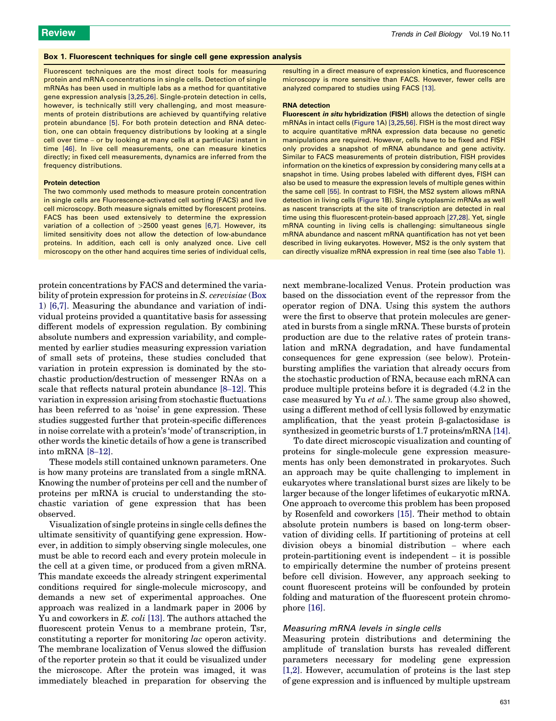#### <span id="page-1-0"></span>Box 1. Fluorescent techniques for single cell gene expression analysis

Fluorescent techniques are the most direct tools for measuring protein and mRNA concentrations in single cells. Detection of single mRNAs has been used in multiple labs as a method for quantitative gene expression analysis [\[3,25,26\]](#page-7-0). Single-protein detection in cells, however, is technically still very challenging, and most measurements of protein distributions are achieved by quantifying relative protein abundance [\[5\].](#page-7-0) For both protein detection and RNA detection, one can obtain frequency distributions by looking at a single cell over time – or by looking at many cells at a particular instant in time [\[46\]](#page-7-0). In live cell measurements, one can measure kinetics directly; in fixed cell measurements, dynamics are inferred from the frequency distributions.

## Protein detection

The two commonly used methods to measure protein concentration in single cells are Fluorescence-activated cell sorting (FACS) and live cell microscopy. Both measure signals emitted by florescent proteins. FACS has been used extensively to determine the expression variation of a collection of  $>2500$  yeast genes [\[6,7\].](#page-7-0) However, its limited sensitivity does not allow the detection of low-abundance proteins. In addition, each cell is only analyzed once. Live cell microscopy on the other hand acquires time series of individual cells,

protein concentrations by FACS and determined the variability of protein expression for proteins in S. cerevisiae (Box 1) [\[6,7\].](#page-7-0) Measuring the abundance and variation of individual proteins provided a quantitative basis for assessing different models of expression regulation. By combining absolute numbers and expression variability, and complemented by earlier studies measuring expression variation of small sets of proteins, these studies concluded that variation in protein expression is dominated by the stochastic production/destruction of messenger RNAs on a scale that reflects natural protein abundance [8–[12\].](#page-7-0) This variation in expression arising from stochastic fluctuations has been referred to as 'noise' in gene expression. These studies suggested further that protein-specific differences in noise correlate with a protein's 'mode' of transcription, in other words the kinetic details of how a gene is transcribed into mRNA [8–[12\]](#page-7-0).

These models still contained unknown parameters. One is how many proteins are translated from a single mRNA. Knowing the number of proteins per cell and the number of proteins per mRNA is crucial to understanding the stochastic variation of gene expression that has been observed.

Visualization of single proteins in single cells defines the ultimate sensitivity of quantifying gene expression. However, in addition to simply observing single molecules, one must be able to record each and every protein molecule in the cell at a given time, or produced from a given mRNA. This mandate exceeds the already stringent experimental conditions required for single-molecule microscopy, and demands a new set of experimental approaches. One approach was realized in a landmark paper in 2006 by Yu and coworkers in  $E.$  coli [\[13\]](#page-7-0). The authors attached the fluorescent protein Venus to a membrane protein, Tsr, constituting a reporter for monitoring lac operon activity. The membrane localization of Venus slowed the diffusion of the reporter protein so that it could be visualized under the microscope. After the protein was imaged, it was immediately bleached in preparation for observing the

resulting in a direct measure of expression kinetics, and fluorescence microscopy is more sensitive than FACS. However, fewer cells are analyzed compared to studies using FACS [\[13\]](#page-7-0).

#### RNA detection

Fluorescent in situ hybridization (FISH) allows the detection of single mRNAs in intact cells [\(Figure 1A](#page-4-0)) [\[3,25,56\]](#page-7-0). FISH is the most direct way to acquire quantitative mRNA expression data because no genetic manipulations are required. However, cells have to be fixed and FISH only provides a snapshot of mRNA abundance and gene activity. Similar to FACS measurements of protein distribution, FISH provides information on the kinetics of expression by considering many cells at a snapshot in time. Using probes labeled with different dyes, FISH can also be used to measure the expression levels of multiple genes within the same cell [\[55\].](#page-7-0) In contrast to FISH, the MS2 system allows mRNA detection in living cells [\(Figure 1](#page-4-0)B). Single cytoplasmic mRNAs as well as nascent transcripts at the site of transcription are detected in real time using this fluorescent-protein-based approach [\[27,28\].](#page-7-0) Yet, single mRNA counting in living cells is challenging: simultaneous single mRNA abundance and nascent mRNA quantification has not yet been described in living eukaryotes. However, MS2 is the only system that can directly visualize mRNA expression in real time (see also [Table 1](#page-3-0)).

next membrane-localized Venus. Protein production was based on the dissociation event of the repressor from the operator region of DNA. Using this system the authors were the first to observe that protein molecules are generated in bursts from a single mRNA. These bursts of protein production are due to the relative rates of protein translation and mRNA degradation, and have fundamental consequences for gene expression (see below). Proteinbursting amplifies the variation that already occurs from the stochastic production of RNA, because each mRNA can produce multiple proteins before it is degraded (4.2 in the case measured by Yu et al.). The same group also showed, using a different method of cell lysis followed by enzymatic amplification, that the yeast protein  $\beta$ -galactosidase is synthesized in geometric bursts of 1.7 proteins/mRNA [\[14\]](#page-7-0).

To date direct microscopic visualization and counting of proteins for single-molecule gene expression measurements has only been demonstrated in prokaryotes. Such an approach may be quite challenging to implement in eukaryotes where translational burst sizes are likely to be larger because of the longer lifetimes of eukaryotic mRNA. One approach to overcome this problem has been proposed by Rosenfeld and coworkers [\[15\]](#page-7-0). Their method to obtain absolute protein numbers is based on long-term observation of dividing cells. If partitioning of proteins at cell division obeys a binomial distribution – where each protein-partitioning event is independent – it is possible to empirically determine the number of proteins present before cell division. However, any approach seeking to count fluorescent proteins will be confounded by protein folding and maturation of the fluorescent protein chromophore [\[16\].](#page-7-0)

# Measuring mRNA levels in single cells

Measuring protein distributions and determining the amplitude of translation bursts has revealed different parameters necessary for modeling gene expression [\[1,2\].](#page-6-0) However, accumulation of proteins is the last step of gene expression and is influenced by multiple upstream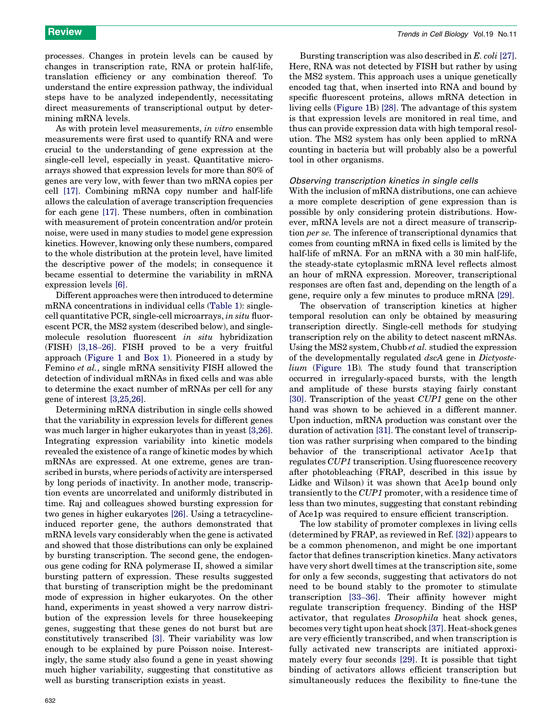processes. Changes in protein levels can be caused by changes in transcription rate, RNA or protein half-life, translation efficiency or any combination thereof. To understand the entire expression pathway, the individual steps have to be analyzed independently, necessitating direct measurements of transcriptional output by determining mRNA levels.

As with protein level measurements, in vitro ensemble measurements were first used to quantify RNA and were crucial to the understanding of gene expression at the single-cell level, especially in yeast. Quantitative microarrays showed that expression levels for more than 80% of genes are very low, with fewer than two mRNA copies per cell [\[17\]](#page-7-0). Combining mRNA copy number and half-life allows the calculation of average transcription frequencies for each gene [\[17\]](#page-7-0). These numbers, often in combination with measurement of protein concentration and/or protein noise, were used in many studies to model gene expression kinetics. However, knowing only these numbers, compared to the whole distribution at the protein level, have limited the descriptive power of the models; in consequence it became essential to determine the variability in mRNA expression levels [\[6\]](#page-7-0).

Different approaches were then introduced to determine mRNA concentrations in individual cells [\(Table 1\)](#page-3-0): singlecell quantitative PCR, single-cell microarrays, in situ fluorescent PCR, the MS2 system (described below), and singlemolecule resolution fluorescent in situ hybridization (FISH) [\[3,18](#page-7-0)–26]. FISH proved to be a very fruitful approach [\(Figure 1](#page-4-0) and [Box 1](#page-1-0)). Pioneered in a study by Femino et al., single mRNA sensitivity FISH allowed the detection of individual mRNAs in fixed cells and was able to determine the exact number of mRNAs per cell for any gene of interest [\[3,25,26\]](#page-7-0).

Determining mRNA distribution in single cells showed that the variability in expression levels for different genes was much larger in higher eukaryotes than in yeast [\[3,26\]](#page-7-0). Integrating expression variability into kinetic models revealed the existence of a range of kinetic modes by which mRNAs are expressed. At one extreme, genes are transcribed in bursts, where periods of activity are interspersed by long periods of inactivity. In another mode, transcription events are uncorrelated and uniformly distributed in time. Raj and colleagues showed bursting expression for two genes in higher eukaryotes [\[26\].](#page-7-0) Using a tetracyclineinduced reporter gene, the authors demonstrated that mRNA levels vary considerably when the gene is activated and showed that those distributions can only be explained by bursting transcription. The second gene, the endogenous gene coding for RNA polymerase II, showed a similar bursting pattern of expression. These results suggested that bursting of transcription might be the predominant mode of expression in higher eukaryotes. On the other hand, experiments in yeast showed a very narrow distribution of the expression levels for three housekeeping genes, suggesting that these genes do not burst but are constitutively transcribed [\[3\].](#page-7-0) Their variability was low enough to be explained by pure Poisson noise. Interestingly, the same study also found a gene in yeast showing much higher variability, suggesting that constitutive as well as bursting transcription exists in yeast.

Bursting transcription was also described in E. coli [\[27\]](#page-7-0). Here, RNA was not detected by FISH but rather by using the MS2 system. This approach uses a unique genetically encoded tag that, when inserted into RNA and bound by specific fluorescent proteins, allows mRNA detection in living cells ([Figure 1B](#page-4-0)) [\[28\].](#page-7-0) The advantage of this system is that expression levels are monitored in real time, and thus can provide expression data with high temporal resolution. The MS2 system has only been applied to mRNA counting in bacteria but will probably also be a powerful tool in other organisms.

# Observing transcription kinetics in single cells

With the inclusion of mRNA distributions, one can achieve a more complete description of gene expression than is possible by only considering protein distributions. However, mRNA levels are not a direct measure of transcription per se. The inference of transcriptional dynamics that comes from counting mRNA in fixed cells is limited by the half-life of mRNA. For an mRNA with a 30 min half-life, the steady-state cytoplasmic mRNA level reflects almost an hour of mRNA expression. Moreover, transcriptional responses are often fast and, depending on the length of a gene, require only a few minutes to produce mRNA [\[29\]](#page-7-0).

The observation of transcription kinetics at higher temporal resolution can only be obtained by measuring transcription directly. Single-cell methods for studying transcription rely on the ability to detect nascent mRNAs. Using the MS2 system, Chubb et al. studied the expression of the developmentally regulated dscA gene in Dictyostelium ([Figure 1B](#page-4-0)). The study found that transcription occurred in irregularly-spaced bursts, with the length and amplitude of these bursts staying fairly constant [\[30\]](#page-7-0). Transcription of the yeast CUP1 gene on the other hand was shown to be achieved in a different manner. Upon induction, mRNA production was constant over the duration of activation [\[31\].](#page-7-0) The constant level of transcription was rather surprising when compared to the binding behavior of the transcriptional activator Ace1p that regulates CUP1 transcription. Using fluorescence recovery after photobleaching (FRAP, described in this issue by Lidke and Wilson) it was shown that Ace1p bound only transiently to the CUP1 promoter, with a residence time of less than two minutes, suggesting that constant rebinding of Ace1p was required to ensure efficient transcription.

The low stability of promoter complexes in living cells (determined by FRAP, as reviewed in Ref. [\[32\]\)](#page-7-0) appears to be a common phenomenon, and might be one important factor that defines transcription kinetics. Many activators have very short dwell times at the transcription site, some for only a few seconds, suggesting that activators do not need to be bound stably to the promoter to stimulate transcription [33–[36\].](#page-7-0) Their affinity however might regulate transcription frequency. Binding of the HSP activator, that regulates Drosophila heat shock genes, becomes very tight upon heat shock [\[37\]](#page-7-0). Heat-shock genes are very efficiently transcribed, and when transcription is fully activated new transcripts are initiated approximately every four seconds [\[29\]](#page-7-0). It is possible that tight binding of activators allows efficient transcription but simultaneously reduces the flexibility to fine-tune the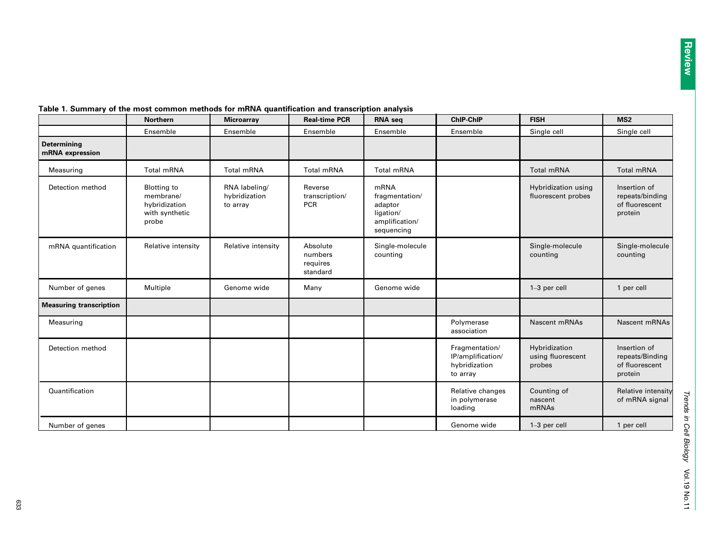|                                       | <b>Northern</b>                                                             | <b>Microarray</b>                          | <b>Real-time PCR</b>                        | <b>RNA</b> seq                                                                        | <b>ChIP-ChIP</b>                                                 | <b>FISH</b>                                  | MS <sub>2</sub>                                              |
|---------------------------------------|-----------------------------------------------------------------------------|--------------------------------------------|---------------------------------------------|---------------------------------------------------------------------------------------|------------------------------------------------------------------|----------------------------------------------|--------------------------------------------------------------|
|                                       | Ensemble                                                                    | Ensemble                                   | Ensemble                                    | Ensemble                                                                              | Ensemble                                                         | Single cell                                  | Single cell                                                  |
| <b>Determining</b><br>mRNA expression |                                                                             |                                            |                                             |                                                                                       |                                                                  |                                              |                                                              |
| Measuring                             | <b>Total mRNA</b>                                                           | <b>Total mRNA</b>                          | <b>Total mRNA</b>                           | <b>Total mRNA</b>                                                                     |                                                                  | <b>Total mRNA</b>                            | <b>Total mRNA</b>                                            |
| Detection method                      | <b>Blotting to</b><br>membrane/<br>hybridization<br>with synthetic<br>probe | RNA labeling/<br>hybridization<br>to array | Reverse<br>transcription/<br><b>PCR</b>     | <b>mRNA</b><br>fragmentation/<br>adaptor<br>ligation/<br>amplification/<br>sequencing |                                                                  | Hybridization using<br>fluorescent probes    | Insertion of<br>repeats/binding<br>of fluorescent<br>protein |
| mRNA quantification                   | Relative intensity                                                          | Relative intensity                         | Absolute<br>numbers<br>requires<br>standard | Single-molecule<br>counting                                                           |                                                                  | Single-molecule<br>counting                  | Single-molecule<br>counting                                  |
| Number of genes                       | Multiple                                                                    | Genome wide                                | Many                                        | Genome wide                                                                           |                                                                  | $1-3$ per cell                               | 1 per cell                                                   |
| <b>Measuring transcription</b>        |                                                                             |                                            |                                             |                                                                                       |                                                                  |                                              |                                                              |
| Measuring                             |                                                                             |                                            |                                             |                                                                                       | Polymerase<br>association                                        | Nascent mRNAs                                | Nascent mRNAs                                                |
| Detection method                      |                                                                             |                                            |                                             |                                                                                       | Fragmentation/<br>IP/amplification/<br>hybridization<br>to array | Hybridization<br>using fluorescent<br>probes | Insertion of<br>repeats/Binding<br>of fluorescent<br>protein |
| Quantification                        |                                                                             |                                            |                                             |                                                                                       | Relative changes<br>in polymerase<br>loading                     | Counting of<br>nascent<br>mRNAs              | Relative intensity<br>of mRNA signal                         |
| Number of genes                       |                                                                             |                                            |                                             |                                                                                       | Genome wide                                                      | $1-3$ per cell                               | 1 per cell                                                   |

# <span id="page-3-0"></span>Table 1. Summary of the most common methods for mRNA quantification and transcription analysis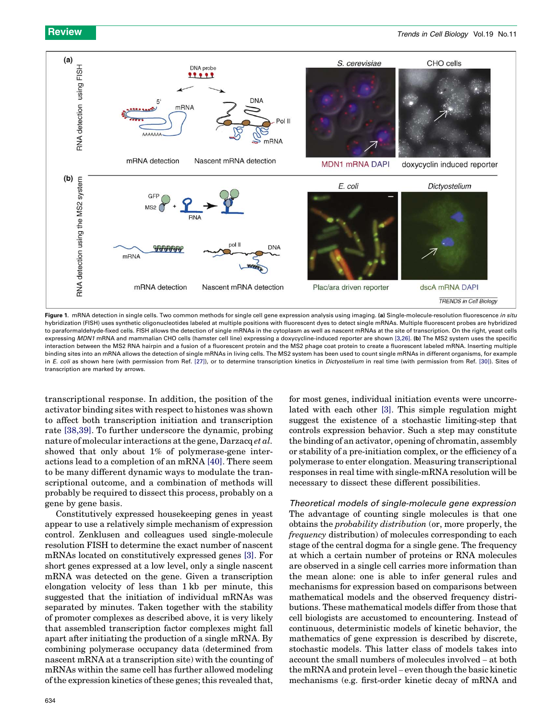<span id="page-4-0"></span>

Figure 1. mRNA detection in single cells. Two common methods for single cell gene expression analysis using imaging. (a) Single-molecule-resolution fluorescence in situ hybridization (FISH) uses synthetic oligonucleotides labeled at multiple positions with fluorescent dyes to detect single mRNAs. Multiple fluorescent probes are hybridized to paraformaldehyde-fixed cells. FISH allows the detection of single mRNAs in the cytoplasm as well as nascent mRNAs at the site of transcription. On the right, yeast cells expressing MDN1 mRNA and mammalian CHO cells (hamster cell line) expressing a doxycycline-induced reporter are shown [\[3,26\].](#page-7-0) (b) The MS2 system uses the specific interaction between the MS2 RNA hairpin and a fusion of a fluorescent protein and the MS2 phage coat protein to create a fluorescent labeled mRNA. Inserting multiple binding sites into an mRNA allows the detection of single mRNAs in living cells. The MS2 system has been used to count single mRNAs in different organisms, for example in E. coli as shown here (with permission from Ref. [\[27\]\)](#page-7-0), or to determine transcription kinetics in Dictyostelium in real time (with permission from Ref. [\[30\]](#page-7-0)). Sites of transcription are marked by arrows.

transcriptional response. In addition, the position of the activator binding sites with respect to histones was shown to affect both transcription initiation and transcription rate [\[38,39\].](#page-7-0) To further underscore the dynamic, probing nature of molecular interactions at the gene, Darzacq et al. showed that only about 1% of polymerase-gene interactions lead to a completion of an mRNA [\[40\]](#page-7-0). There seem to be many different dynamic ways to modulate the transcriptional outcome, and a combination of methods will probably be required to dissect this process, probably on a gene by gene basis.

Constitutively expressed housekeeping genes in yeast appear to use a relatively simple mechanism of expression control. Zenklusen and colleagues used single-molecule resolution FISH to determine the exact number of nascent mRNAs located on constitutively expressed genes [\[3\]](#page-7-0). For short genes expressed at a low level, only a single nascent mRNA was detected on the gene. Given a transcription elongation velocity of less than 1 kb per minute, this suggested that the initiation of individual mRNAs was separated by minutes. Taken together with the stability of promoter complexes as described above, it is very likely that assembled transcription factor complexes might fall apart after initiating the production of a single mRNA. By combining polymerase occupancy data (determined from nascent mRNA at a transcription site) with the counting of mRNAs within the same cell has further allowed modeling of the expression kinetics of these genes; this revealed that, for most genes, individual initiation events were uncorrelated with each other [\[3\]](#page-7-0). This simple regulation might suggest the existence of a stochastic limiting-step that controls expression behavior. Such a step may constitute the binding of an activator, opening of chromatin, assembly or stability of a pre-initiation complex, or the efficiency of a polymerase to enter elongation. Measuring transcriptional responses in real time with single-mRNA resolution will be necessary to dissect these different possibilities.

Theoretical models of single-molecule gene expression The advantage of counting single molecules is that one obtains the probability distribution (or, more properly, the frequency distribution) of molecules corresponding to each stage of the central dogma for a single gene. The frequency at which a certain number of proteins or RNA molecules are observed in a single cell carries more information than the mean alone: one is able to infer general rules and mechanisms for expression based on comparisons between mathematical models and the observed frequency distributions. These mathematical models differ from those that cell biologists are accustomed to encountering. Instead of continuous, deterministic models of kinetic behavior, the mathematics of gene expression is described by discrete, stochastic models. This latter class of models takes into account the small numbers of molecules involved – at both the mRNA and protein level – even though the basic kinetic mechanisms (e.g. first-order kinetic decay of mRNA and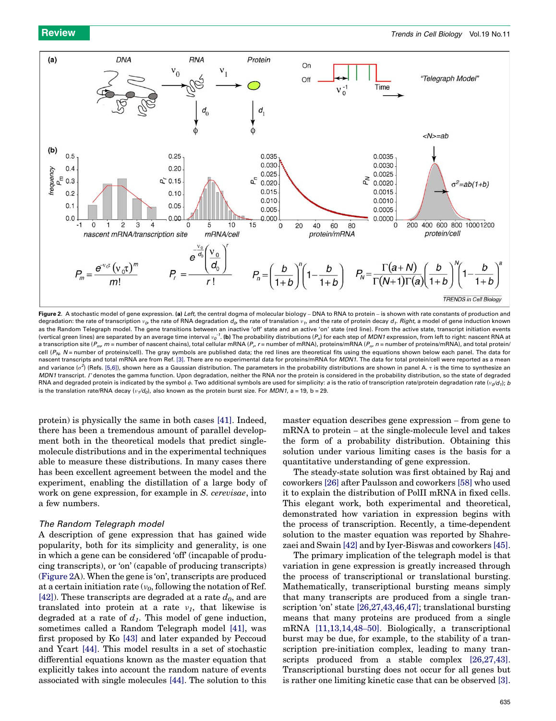<span id="page-5-0"></span>

Figure 2. A stochastic model of gene expression. (a) Left, the central dogma of molecular biology - DNA to RNA to protein - is shown with rate constants of production and degradation: the rate of transcription  $v_0$ , the rate of RNA degradation  $d_0$ , the rate of translation  $v_1$ , and the rate of protein decay  $d_1$ . Right, a model of gene induction known as the Random Telegraph model. The gene transitions between an inactive 'off' state and an active 'on' state (red line). From the active state, transcript initiation events (vertical green lines) are separated by an average time interval  $v_0^{-1}$ . (b) The probability distributions ( $P_{\sf x}$ ) for each step of MDN1 expression, from left to right: nascent RNA at a transcription site ( $P_m$ ,  $m$  = number of nascent chains), total cellular mRNA ( $P_n$ , r = number of mRNA), proteins/mRNA ( $P_n$ , n = number of proteins/mRNA), and total protein/ cell  $(P_N, N =$  number of proteins/cell). The gray symbols are published data; the red lines are theoretical fits using the equations shown below each panel. The data for nascent transcripts and total mRNA are from Ref. [\[3\]](#page-7-0). There are no experimental data for proteins/mRNA for *MDN1*. The data for total protein/cell were reported as a mean and variance ( $\sigma^2$ ) (Refs. [\[5,6\]](#page-7-0)), shown here as a Gaussian distribution. The parameters in the probability distributions are shown in panel A. T is the time to synthesize an MDN1 transcript. I denotes the gamma function. Upon degradation, neither the RNA nor the protein is considered in the probability distribution, so the state of degraded RNA and degraded protein is indicated by the symbol  $\phi$ . Two additional symbols are used for simplicity: a is the ratio of transcription rate/protein degradation rate (v<sub>o</sub>/d<sub>1</sub>); b is the translation rate/RNA decay ( $v_1/d_0$ ), also known as the protein burst size. For MDN1, a = 19, b = 29.

protein) is physically the same in both cases [\[41\].](#page-7-0) Indeed, there has been a tremendous amount of parallel development both in the theoretical models that predict singlemolecule distributions and in the experimental techniques able to measure these distributions. In many cases there has been excellent agreement between the model and the experiment, enabling the distillation of a large body of work on gene expression, for example in S. cerevisae, into a few numbers.

#### The Random Telegraph model

A description of gene expression that has gained wide popularity, both for its simplicity and generality, is one in which a gene can be considered 'off' (incapable of producing transcripts), or 'on' (capable of producing transcripts) (Figure 2A). When the gene is 'on', transcripts are produced at a certain initiation rate  $(v_0,$  following the notation of Ref. [\[42\]](#page-7-0)). These transcripts are degraded at a rate  $d_0$ , and are translated into protein at a rate  $v_1$ , that likewise is degraded at a rate of  $d_1$ . This model of gene induction, sometimes called a Random Telegraph model [\[41\],](#page-7-0) was first proposed by Ko [\[43\]](#page-7-0) and later expanded by Peccoud and Ycart [\[44\]](#page-7-0). This model results in a set of stochastic differential equations known as the master equation that explicitly takes into account the random nature of events associated with single molecules [\[44\]](#page-7-0). The solution to this master equation describes gene expression – from gene to mRNA to protein – at the single-molecule level and takes the form of a probability distribution. Obtaining this solution under various limiting cases is the basis for a quantitative understanding of gene expression.

The steady-state solution was first obtained by Raj and coworkers [\[26\]](#page-7-0) after Paulsson and coworkers [\[58\]](#page-7-0) who used it to explain the distribution of PolII mRNA in fixed cells. This elegant work, both experimental and theoretical, demonstrated how variation in expression begins with the process of transcription. Recently, a time-dependent solution to the master equation was reported by Shahrezaei and Swain [\[42\]](#page-7-0) and by Iyer-Biswas and coworkers [\[45\]](#page-7-0).

The primary implication of the telegraph model is that variation in gene expression is greatly increased through the process of transcriptional or translational bursting. Mathematically, transcriptional bursting means simply that many transcripts are produced from a single transcription 'on' state [\[26,27,43,46,47\];](#page-7-0) translational bursting means that many proteins are produced from a single mRNA [\[11,13,14,48](#page-7-0)–50]. Biologically, a transcriptional burst may be due, for example, to the stability of a transcription pre-initiation complex, leading to many transcripts produced from a stable complex [\[26,27,43\]](#page-7-0). Transcriptional bursting does not occur for all genes but is rather one limiting kinetic case that can be observed [\[3\]](#page-7-0).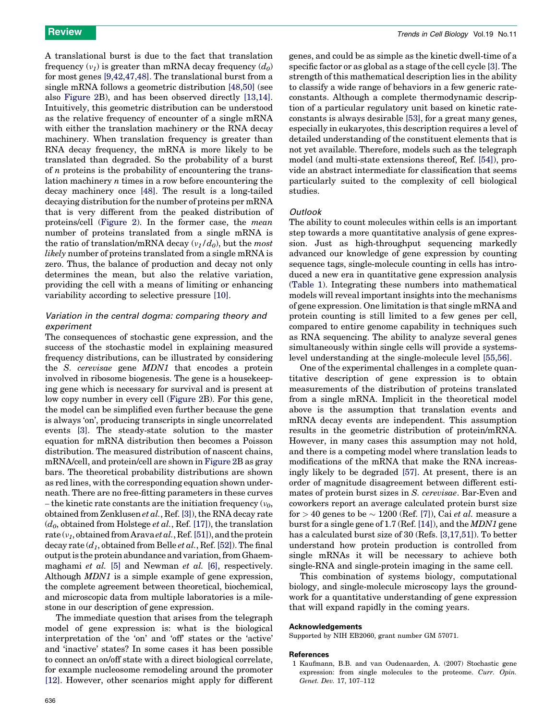<span id="page-6-0"></span>A translational burst is due to the fact that translation frequency  $(v_1)$  is greater than mRNA decay frequency  $(d_0)$ for most genes [\[9,42,47,48\].](#page-7-0) The translational burst from a single mRNA follows a geometric distribution [\[48,50\]](#page-7-0) (see also [Figure 2B](#page-5-0)), and has been observed directly [\[13,14\]](#page-7-0). Intuitively, this geometric distribution can be understood as the relative frequency of encounter of a single mRNA with either the translation machinery or the RNA decay machinery. When translation frequency is greater than RNA decay frequency, the mRNA is more likely to be translated than degraded. So the probability of a burst of  $n$  proteins is the probability of encountering the translation machinery  $n$  times in a row before encountering the decay machinery once [\[48\]](#page-7-0). The result is a long-tailed decaying distribution for the number of proteins per mRNA that is very different from the peaked distribution of proteins/cell [\(Figure 2\)](#page-5-0). In the former case, the mean number of proteins translated from a single mRNA is the ratio of translation/mRNA decay  $(v_1/d_0)$ , but the most likely number of proteins translated from a single mRNA is zero. Thus, the balance of production and decay not only determines the mean, but also the relative variation, providing the cell with a means of limiting or enhancing variability according to selective pressure [\[10\].](#page-7-0)

# Variation in the central dogma: comparing theory and experiment

The consequences of stochastic gene expression, and the success of the stochastic model in explaining measured frequency distributions, can be illustrated by considering the S. cerevisae gene MDN1 that encodes a protein involved in ribosome biogenesis. The gene is a housekeeping gene which is necessary for survival and is present at low copy number in every cell ([Figure 2](#page-5-0)B). For this gene, the model can be simplified even further because the gene is always 'on', producing transcripts in single uncorrelated events [\[3\]](#page-7-0). The steady-state solution to the master equation for mRNA distribution then becomes a Poisson distribution. The measured distribution of nascent chains, mRNA/cell, and protein/cell are shown in [Figure 2](#page-5-0)B as gray bars. The theoretical probability distributions are shown as red lines, with the corresponding equation shown underneath. There are no free-fitting parameters in these curves – the kinetic rate constants are the initiation frequency  $(v_0,$ obtained from Zenklusen *et al.*, Ref. [\[3\]](#page-7-0)), the RNA decay rate  $(d_0, 0)$  obtained from Holstege *et al.*, Ref. [\[17\]](#page-7-0)), the translation rate  $(v_1, 0$  obtained from Arava *et al.*, Ref. [\[51\]\)](#page-7-0), and the protein decay rate  $(d_1, 0)$  obtained from Belle *et al.*, Ref. [\[52\]\)](#page-7-0). The final output is the protein abundance and variation, from Ghaem-maghami et al. [\[5\]](#page-7-0) and Newman et al. [\[6\],](#page-7-0) respectively. Although MDN1 is a simple example of gene expression, the complete agreement between theoretical, biochemical, and microscopic data from multiple laboratories is a milestone in our description of gene expression.

The immediate question that arises from the telegraph model of gene expression is: what is the biological interpretation of the 'on' and 'off' states or the 'active' and 'inactive' states? In some cases it has been possible to connect an on/off state with a direct biological correlate, for example nucleosome remodeling around the promoter [\[12\]](#page-7-0). However, other scenarios might apply for different genes, and could be as simple as the kinetic dwell-time of a specific factor or as global as a stage of the cell cycle [\[3\].](#page-7-0) The strength of this mathematical description lies in the ability to classify a wide range of behaviors in a few generic rateconstants. Although a complete thermodynamic description of a particular regulatory unit based on kinetic rateconstants is always desirable [\[53\],](#page-7-0) for a great many genes, especially in eukaryotes, this description requires a level of detailed understanding of the constituent elements that is not yet available. Therefore, models such as the telegraph model (and multi-state extensions thereof, Ref. [\[54\]\)](#page-7-0), provide an abstract intermediate for classification that seems particularly suited to the complexity of cell biological studies.

## **Outlook**

The ability to count molecules within cells is an important step towards a more quantitative analysis of gene expression. Just as high-throughput sequencing markedly advanced our knowledge of gene expression by counting sequence tags, single-molecule counting in cells has introduced a new era in quantitative gene expression analysis ([Table 1](#page-3-0)). Integrating these numbers into mathematical models will reveal important insights into the mechanisms of gene expression. One limitation is that single mRNA and protein counting is still limited to a few genes per cell, compared to entire genome capability in techniques such as RNA sequencing. The ability to analyze several genes simultaneously within single cells will provide a systemslevel understanding at the single-molecule level [\[55,56\].](#page-7-0)

One of the experimental challenges in a complete quantitative description of gene expression is to obtain measurements of the distribution of proteins translated from a single mRNA. Implicit in the theoretical model above is the assumption that translation events and mRNA decay events are independent. This assumption results in the geometric distribution of protein/mRNA. However, in many cases this assumption may not hold, and there is a competing model where translation leads to modifications of the mRNA that make the RNA increasingly likely to be degraded [\[57\].](#page-7-0) At present, there is an order of magnitude disagreement between different estimates of protein burst sizes in S. cerevisae. Bar-Even and coworkers report an average calculated protein burst size for > 40 genes to be  $\sim$  1200 (Ref. [\[7\]\)](#page-7-0), Cai *et al*. measure a burst for a single gene of 1.7 (Ref. [\[14\]\)](#page-7-0), and the MDN1 gene has a calculated burst size of 30 (Refs. [\[3,17,51\]](#page-7-0)). To better understand how protein production is controlled from single mRNAs it will be necessary to achieve both single-RNA and single-protein imaging in the same cell.

This combination of systems biology, computational biology, and single-molecule microscopy lays the groundwork for a quantitative understanding of gene expression that will expand rapidly in the coming years.

#### Acknowledgements

Supported by NIH EB2060, grant number GM 57071.

#### References

1 Kaufmann, B.B. and van Oudenaarden, A. (2007) Stochastic gene expression: from single molecules to the proteome. Curr. Opin. Genet. Dev. 17, 107–112